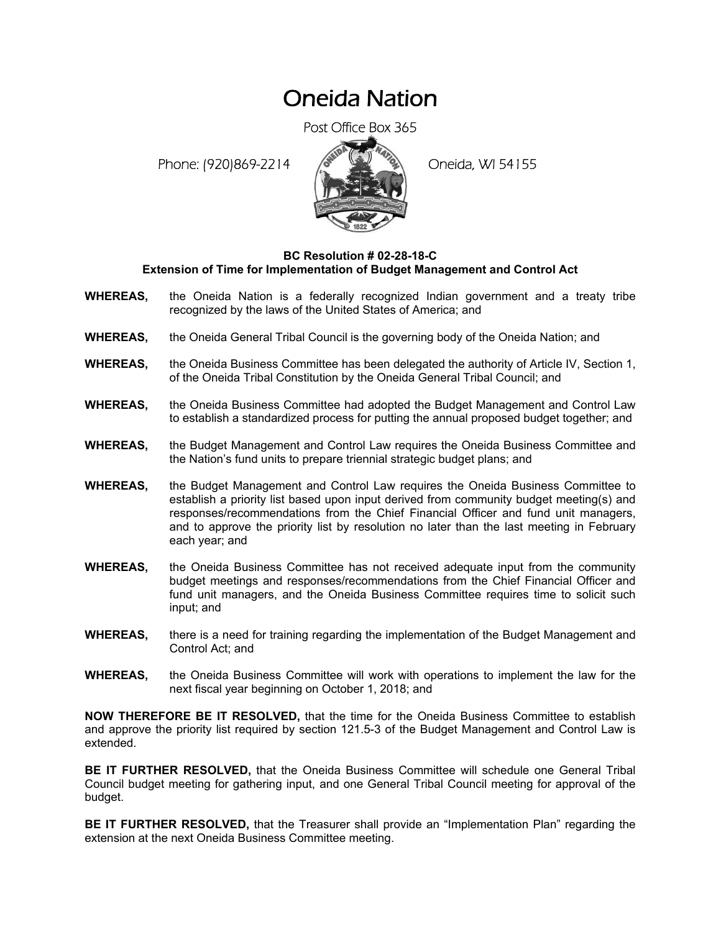## Oneida Nation

Post Office Box 365

Phone: (920)869-2214 (8 22 3) Oneida, WI 54155



## **BC Resolution # 02-28-18-C Extension of Time for Implementation of Budget Management and Control Act**

- **WHEREAS,** the Oneida Nation is a federally recognized Indian government and a treaty tribe recognized by the laws of the United States of America; and
- **WHEREAS,** the Oneida General Tribal Council is the governing body of the Oneida Nation; and
- **WHEREAS,** the Oneida Business Committee has been delegated the authority of Article IV, Section 1, of the Oneida Tribal Constitution by the Oneida General Tribal Council; and
- **WHEREAS,** the Oneida Business Committee had adopted the Budget Management and Control Law to establish a standardized process for putting the annual proposed budget together; and
- **WHEREAS,** the Budget Management and Control Law requires the Oneida Business Committee and the Nation's fund units to prepare triennial strategic budget plans; and
- **WHEREAS,** the Budget Management and Control Law requires the Oneida Business Committee to establish a priority list based upon input derived from community budget meeting(s) and responses/recommendations from the Chief Financial Officer and fund unit managers, and to approve the priority list by resolution no later than the last meeting in February each year; and
- **WHEREAS,** the Oneida Business Committee has not received adequate input from the community budget meetings and responses/recommendations from the Chief Financial Officer and fund unit managers, and the Oneida Business Committee requires time to solicit such input; and
- **WHEREAS,** there is a need for training regarding the implementation of the Budget Management and Control Act; and
- **WHEREAS,** the Oneida Business Committee will work with operations to implement the law for the next fiscal year beginning on October 1, 2018; and

**NOW THEREFORE BE IT RESOLVED,** that the time for the Oneida Business Committee to establish and approve the priority list required by section 121.5-3 of the Budget Management and Control Law is extended.

**BE IT FURTHER RESOLVED,** that the Oneida Business Committee will schedule one General Tribal Council budget meeting for gathering input, and one General Tribal Council meeting for approval of the budget.

**BE IT FURTHER RESOLVED,** that the Treasurer shall provide an "Implementation Plan" regarding the extension at the next Oneida Business Committee meeting.